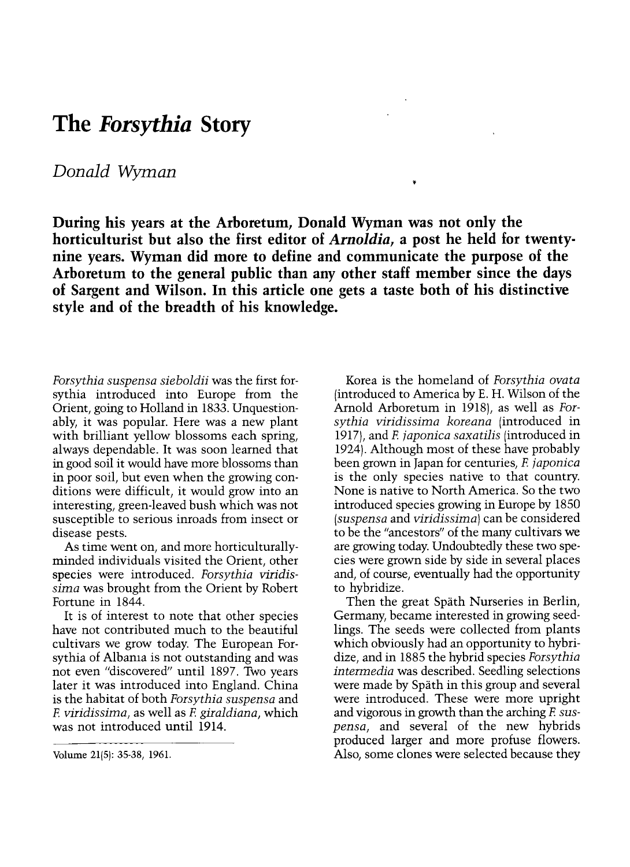## The *Forsythia* Story

## Donald Wyman

During his years at the Arboretum, Donald Wyman was not only the horticulturist but also the first editor of Arnoldia, a post he held for twentynine years. Wyman did more to define and communicate the purpose of the Arboretum to the general public than any other staff member since the days of Sargent and Wilson. In this article one gets a taste both of his distinctive style and of the breadth of his knowledge.

Forsythia suspensa sieboldii was the first forsythia introduced into Europe from the Orient, going to Holland in 1833. Unquestionably, it was popular. Here was a new plant with brilliant yellow blossoms each spring, always dependable. It was soon learned that in good soil it would have more blossoms than in poor soil, but even when the growing conditions were difficult, it would grow into an interesting, green-leaved bush which was not susceptible to serious inroads from insect or disease pests.

As time went on, and more horticulturallyminded individuals visited the Orient, other species were introduced. Forsythia viridissima was brought from the Orient by Robert Fortune in 1844.

It is of interest to note that other species have not contributed much to the beautiful cultivars we grow today. The European Forsythia of Albania is not outstanding and was not even "discovered" until 1897. Two years later it was introduced into England. China is the habitat of both Forsythia suspensa and F. viridissima, as well as F. giraldiana, which was not introduced until 1914.

Korea is the homeland of Forsythia ovata (introduced to America by E. H. Wilson of the Arnold Arboretum in 1918), as well as Forsythia viridissima koreana (introduced in 1917), and F. japonica saxatilis (introduced in 1924). Although most of these have probably been grown in Japan for centuries, F. japonica is the only species native to that country. None is native to North America. So the two introduced species growing in Europe by 1850 (suspensa and viridissima) can be considered to be the "ancestors" of the many cultivars we are growing today. Undoubtedly these two species were grown side by side in several places and, of course, eventually had the opportunity to hybridize.

Then the great Spath Nurseries in Berlin, Germany, became interested in growing seedlings. The seeds were collected from plants which obviously had an opportunity to hybridize, and in 1885 the hybrid species Forsythia intermedia was described. Seedling selections were made by Spath in this group and several were introduced. These were more upright and vigorous in growth than the arching F suspensa, and several of the new hybrids produced larger and more profuse flowers. Also, some clones were selected because they

Volume 21(5): 35-38, 1961.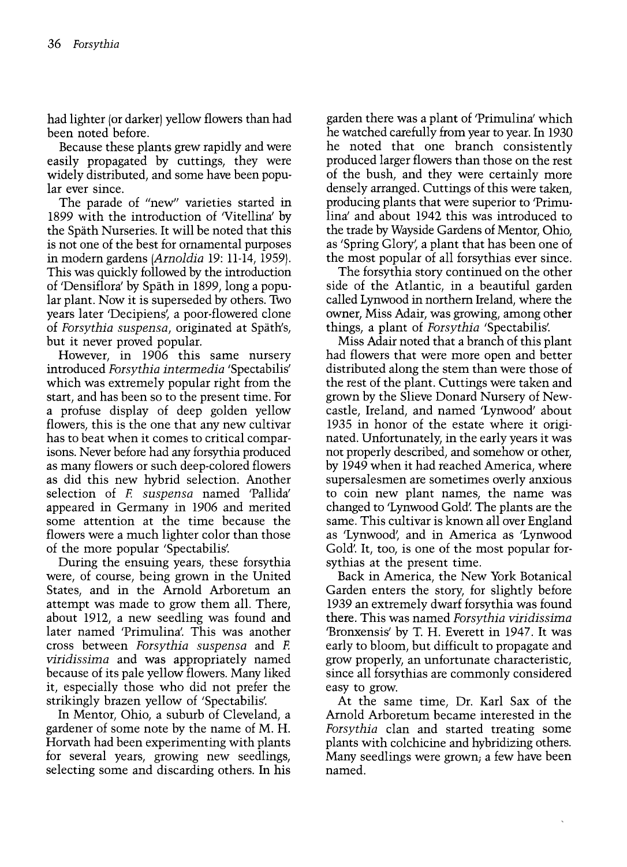had lighter (or darker) yellow flowers than had been noted before.

Because these plants grew rapidly and were easily propagated by cuttings, they were widely distributed, and some have been popular ever since.

The parade of "new" varieties started in 1899 with the introduction of 'Vitellina' by the Spath Nurseries. It will be noted that this is not one of the best for ornamental purposes in modern gardens (Arnoldia 19: 11-14, 1959). This was quickly followed by the introduction of 'Densiflora' by Spath in 1899, long a popular plant. Now it is superseded by others. Two years later 'Decipiens', a poor-flowered clone of Forsythia suspensa, originated at Spath's, but it never proved popular.

However, in 1906 this same nursery introduced Forsythia intermedia 'Spectabilis' which was extremely popular right from the start, and has been so to the present time. For a profuse display of deep golden yellow flowers, this is the one that any new cultivar has to beat when it comes to critical comparisons. Never before had any forsythia produced as many flowers or such deep-colored flowers as did this new hybrid selection. Another selection of F. suspensa named 'Pallida' appeared in Germany in 1906 and merited some attention at the time because the flowers were a much lighter color than those of the more popular 'Spectabilis'.

During the ensuing years, these forsythia were, of course, being grown in the United States, and in the Arnold Arboretum an attempt was made to grow them all. There, about 1912, a new seedling was found and later named 'Primulina'. This was another cross between Forsythia suspensa and F. viridissima and was appropriately named because of its pale yellow flowers. Many liked it, especially those who did not prefer the strikingly brazen yellow of 'Spectabilis'.

In Mentor, Ohio, a suburb of Cleveland, a gardener of some note by the name of M. H. Horvath had been experimenting with plants for several years, growing new seedlings, selecting some and discarding others. In his

garden there was a plant of 'Primulina' which he watched carefully from year to year. In 1930 he noted that one branch consistently produced larger flowers than those on the rest of the bush, and they were certainly more densely arranged. Cuttings of this were taken, producing plants that were superior to 'Primulina' and about 1942 this was introduced to the trade by Wayside Gardens of Mentor, Ohio, as 'Spring Glory', a plant that has been one of the most popular of all forsythias ever since.

The forsythia story continued on the other side of the Atlantic, in a beautiful garden called Lynwood in northern Ireland, where the owner, Miss Adair, was growing, among other things, a plant of Forsythia 'Spectabilis'.

Miss Adair noted that a branch of this plant had flowers that were more open and better distributed along the stem than were those of the rest of the plant. Cuttings were taken and grown by the Slieve Donard Nursery of Newcastle, Ireland, and named 'Lynwood' about 1935 in honor of the estate where it originated. Unfortunately, in the early years it was not properly described, and somehow or other, by 1949 when it had reached America, where supersalesmen are sometimes overly anxious to coin new plant names, the name was changed to 'Lynwood Gold'. The plants are the same. This cultivar is known all over England as 'Lynwood', and in America as 'Lynwood Gold'. It, too, is one of the most popular forsythias at the present time.

Back in America, the New York Botanical Garden enters the story, for slightly before 1939 an extremely dwarf forsythia was found there. This was named Forsythia viridissima 'Bronxensis' by T. H. Everett in 1947. It was early to bloom, but difficult to propagate and grow properly, an unfortunate characteristic, since all forsythias are commonly considered easy to grow.

At the same time, Dr. Karl Sax of the Arnold Arboretum became interested in the Forsythia clan and started treating some plants with colchicine and hybridizing others. Many seedlings were grown; a few have been named.